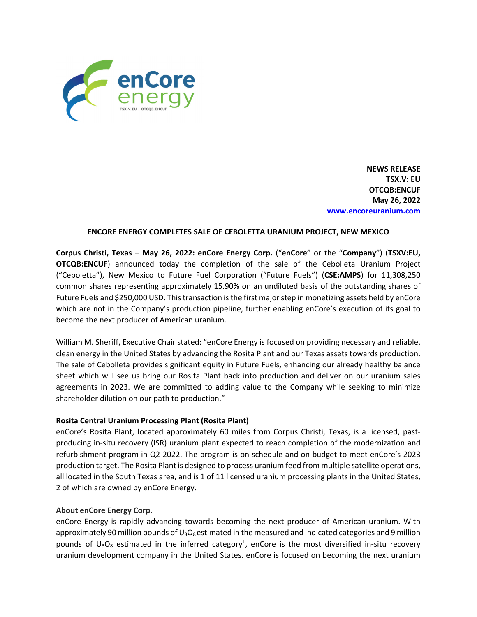

**NEWS RELEASE TSX.V: EU OTCQB:ENCUF May 26, 2022 www.encoreuranium.com**

## **ENCORE ENERGY COMPLETES SALE OF CEBOLETTA URANIUM PROJECT, NEW MEXICO**

**Corpus Christi, Texas – May 26, 2022: enCore Energy Corp.** ("**enCore**" or the "**Company**") (**TSXV:EU, OTCQB:ENCUF**) announced today the completion of the sale of the Cebolleta Uranium Project ("Ceboletta"), New Mexico to Future Fuel Corporation ("Future Fuels") (**CSE:AMPS**) for 11,308,250 common shares representing approximately 15.90% on an undiluted basis of the outstanding shares of Future Fuels and \$250,000 USD. Thistransaction isthe first majorstep in monetizing assets held by enCore which are not in the Company's production pipeline, further enabling enCore's execution of its goal to become the next producer of American uranium.

William M. Sheriff, Executive Chair stated: "enCore Energy is focused on providing necessary and reliable, clean energy in the United States by advancing the Rosita Plant and our Texas assets towards production. The sale of Cebolleta provides significant equity in Future Fuels, enhancing our already healthy balance sheet which will see us bring our Rosita Plant back into production and deliver on our uranium sales agreements in 2023. We are committed to adding value to the Company while seeking to minimize shareholder dilution on our path to production."

## **Rosita Central Uranium Processing Plant (Rosita Plant)**

enCore's Rosita Plant, located approximately 60 miles from Corpus Christi, Texas, is a licensed, pastproducing in‐situ recovery (ISR) uranium plant expected to reach completion of the modernization and refurbishment program in Q2 2022. The program is on schedule and on budget to meet enCore's 2023 production target. The Rosita Plant is designed to process uranium feed from multiple satellite operations, all located in the South Texas area, and is 1 of 11 licensed uranium processing plants in the United States, 2 of which are owned by enCore Energy.

## **About enCore Energy Corp.**

enCore Energy is rapidly advancing towards becoming the next producer of American uranium. With approximately 90 million pounds of  $U_3O_8$  estimated in the measured and indicated categories and 9 million pounds of  $U_3O_8$  estimated in the inferred category<sup>1</sup>, enCore is the most diversified in-situ recovery uranium development company in the United States. enCore is focused on becoming the next uranium